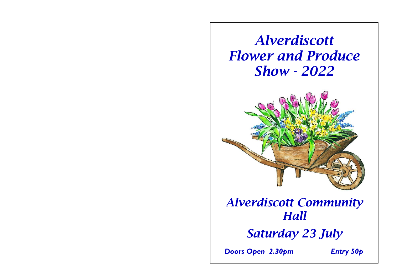# *Alverdiscott Flower and Produce Show - 2022*



## *Alverdiscott Community Hall*

*Saturday 23 July* 

*Doors Open 2.30pm Entry 50p*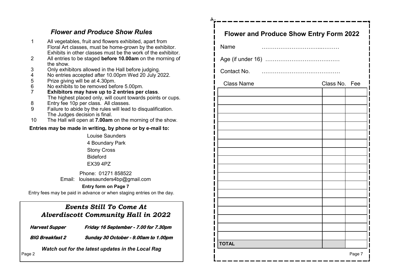## *Flower and Produce Show Rules*

- 1 All vegetables, fruit and flowers exhibited, apart from Floral Art classes, must be home-grown by the exhibitor. Exhibits in other classes must be the work of the exhibitor. 2 All entries to be staged **before 10.00am** on the morning of the show.
- 
- 3 Only exhibitors allowed in the Hall before judging. 4 No entries accepted after 10.00pm Wed 20 July 2022.<br>5 Prize giving will be at 4.30pm.
- 5 Prize giving will be at 4.30pm.<br>6 No exhibits to be removed bef
- 6 No exhibits to be removed before 5.00pm.<br>7 Exhibitors may have up to 2 entries per
- 7 **Exhibitors may have up to 2 entries per class**. The highest placed only, will count towards points or cups.
- 8 Entry fee 10p per class. All classes.<br>9 Eailure to abide by the rules will lead
- Failure to abide by the rules will lead to disqualification. The Judges decision is final.
- 10 The Hall will open at **7.00am** on the morning of the show.

### **Entries may be made in writing, by phone or by e-mail to:**

Louise Saunders 4 Boundary Park Stony Cross Bideford EX39 4PZ

Phone: 01271 858522 Email: louisesaunders4bp@gmail.com

#### **Entry form on Page 7**

Entry fees may be paid in advance or when staging entries on the day.

## *Events Still To Come At Alverdiscott Community Hall in 2022*

**Harvest Supper Friday 16 September - 7.00 for 7.30pm** 

**BIG Breakfast 2 Sunday 30 October - 9.00am to 1.00pm** 

*Watch out for the latest updates in the Local Rag* Page 2

| <b>Flower and Produce Show Entry Form 2022</b> |               |        |
|------------------------------------------------|---------------|--------|
| Name                                           |               |        |
|                                                |               |        |
|                                                |               |        |
| <b>Class Name</b>                              | Class No. Fee |        |
|                                                |               |        |
|                                                |               |        |
|                                                |               |        |
|                                                |               |        |
|                                                |               |        |
|                                                |               |        |
|                                                |               |        |
|                                                |               |        |
|                                                |               |        |
|                                                |               |        |
|                                                |               |        |
|                                                |               |        |
|                                                |               |        |
|                                                |               |        |
| <b>TOTAL</b>                                   |               |        |
|                                                |               | Page 7 |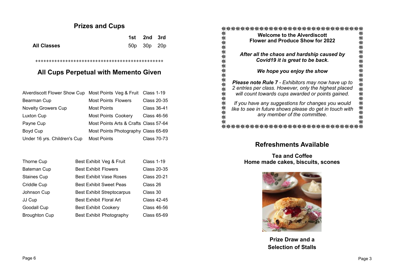## **Prizes and Cups**

|                    | 1st 2nd 3rd |  |
|--------------------|-------------|--|
| <b>All Classes</b> | 50p 30p 20p |  |

## **All Cups Perpetual with Memento Given**

+++++++++++++++++++++++++++++++++++++++++++++++

| Alverdiscott Flower Show Cup Most Points Veg & Fruit Class 1-19 |                                       |             |
|-----------------------------------------------------------------|---------------------------------------|-------------|
| Bearman Cup                                                     | <b>Most Points Flowers</b>            | Class 20-35 |
| <b>Novelty Growers Cup</b>                                      | <b>Most Points</b>                    | Class 36-41 |
| Luxton Cup                                                      | <b>Most Points Cookery</b>            | Class 46-56 |
| Payne Cup                                                       | Most Points Arts & Crafts Class 57-64 |             |
| Boyd Cup                                                        | Most Points Photography Class 65-69   |             |
| Under 16 yrs. Children's Cup                                    | <b>Most Points</b>                    | Class 70-73 |

| Thorne Cup           | Best Exhibit Veg & Fruit          | <b>Class 1-19</b>  |
|----------------------|-----------------------------------|--------------------|
| Bateman Cup          | <b>Best Exhibit Flowers</b>       | <b>Class 20-35</b> |
| <b>Staines Cup</b>   | <b>Best Exhibit Vase Roses</b>    | <b>Class 20-21</b> |
| Criddle Cup          | <b>Best Exhibit Sweet Peas</b>    | Class 26           |
| Johnson Cup          | <b>Best Exhibit Streptocarpus</b> | Class 30           |
| JJ Cup               | <b>Best Exhibit Floral Art</b>    | Class 42-45        |
| Goodall Cup          | <b>Best Exhibit Cookery</b>       | Class 46-56        |
| <b>Broughton Cup</b> | Best Exhibit Photography          | Class 65-69        |

|                   | <b>Welcome to the Alverdiscott</b>                                                                         |            |
|-------------------|------------------------------------------------------------------------------------------------------------|------------|
|                   | <b>Flower and Produce Show for 2022</b>                                                                    |            |
| ***************** | After all the chaos and hardship caused by<br>Covid19 it is great to be back.                              |            |
|                   | We hope you enjoy the show                                                                                 |            |
|                   | <b>Please note Rule 7 - Exhibitors may now have up to</b>                                                  |            |
|                   | 2 entries per class. However, only the highest placed<br>will count towards cups awarded or points gained. | ********** |
|                   | If you have any suggestions for changes you would                                                          |            |
|                   | like to see in future shows please do get in touch with<br>any member of the committee.                    |            |
|                   |                                                                                                            |            |

and the second contract of the second contract of the second contract of the second contract of the second contract of the second contract of the second contract of the second contract of the second contract of the second

## **Refreshments Available**

**Tea and Coffee Home made cakes, biscuits, scones**



**Prize Draw and a Selection of Stalls**